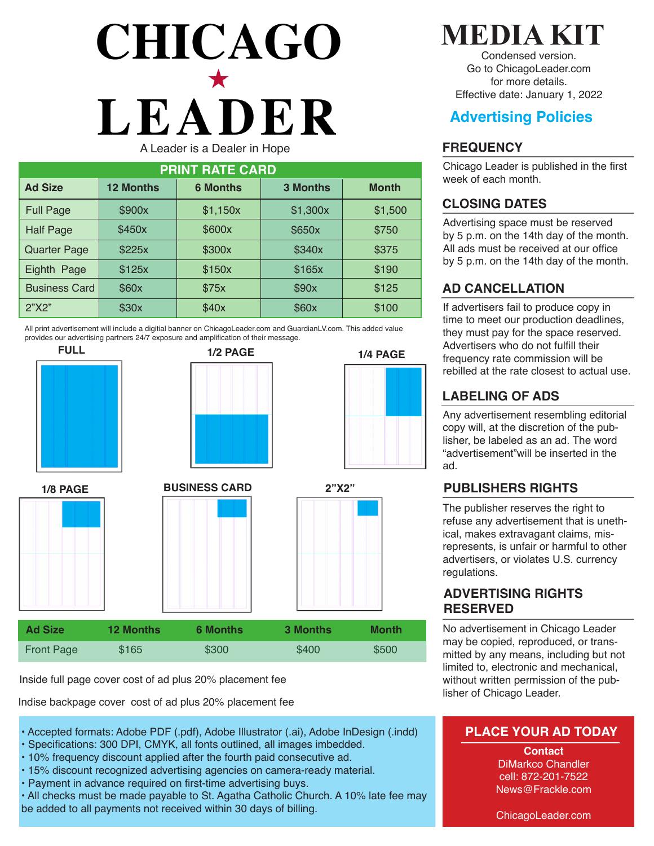# **CHICAGO** LEADER A Leader is a Dealer in Hope

| <b>PRINT RATE CARD</b> |                  |                 |                 |              |  |  |  |
|------------------------|------------------|-----------------|-----------------|--------------|--|--|--|
| <b>Ad Size</b>         | <b>12 Months</b> | <b>6 Months</b> | <b>3 Months</b> | <b>Month</b> |  |  |  |
| <b>Full Page</b>       | \$900x           | \$1,150x        | \$1,300x        | \$1,500      |  |  |  |
| <b>Half Page</b>       | \$450x           | \$600x          | \$650x          | \$750        |  |  |  |
| <b>Quarter Page</b>    | \$225x           | \$300x          | \$340x          | \$375        |  |  |  |
| Eighth Page            | \$125x           | \$150x          | \$165x          | \$190        |  |  |  |
| <b>Business Card</b>   | \$60x            | \$75x           | \$90x           | \$125        |  |  |  |
| 2"X2"                  | \$30x            | \$40x           | \$60x           | \$100        |  |  |  |

All print advertisement will include a digitial banner on ChicagoLeader.com and GuardianLV.com. This added value provides our advertising partners 24/7 exposure and amplification of their message.







| <b>Ad Size</b>    | <b>12 Months</b> | <b>6 Months</b> | <b>3 Months</b> | <b>Month</b> |
|-------------------|------------------|-----------------|-----------------|--------------|
| <b>Front Page</b> | \$165            | \$300           | \$400           | \$500        |

Inside full page cover cost of ad plus 20% placement fee

Indise backpage cover cost of ad plus 20% placement fee

- Accepted formats: Adobe PDF (.pdf), Adobe Illustrator (.ai), Adobe InDesign (.indd)
- Specifications: 300 DPI, CMYK, all fonts outlined, all images imbedded.
- 10% frequency discount applied after the fourth paid consecutive ad.
- 15% discount recognized advertising agencies on camera-ready material.
- Payment in advance required on first-time advertising buys.

• All checks must be made payable to St. Agatha Catholic Church. A 10% late fee may be added to all payments not received within 30 days of billing.

# **MEDIA KIT**

Condensed version. Go to ChicagoLeader.com for more details. Effective date: January 1, 2022

# **Advertising Policies**

#### **FREQUENCY**

Chicago Leader is published in the first week of each month.

#### **CLOSING DATES**

Advertising space must be reserved by 5 p.m. on the 14th day of the month. All ads must be received at our office by 5 p.m. on the 14th day of the month.

## **AD CANCELLATION**

If advertisers fail to produce copy in time to meet our production deadlines, they must pay for the space reserved. Advertisers who do not fulfill their frequency rate commission will be rebilled at the rate closest to actual use.

### **LABELING OF ADS**

**1/4 PAGE**

Any advertisement resembling editorial copy will, at the discretion of the publisher, be labeled as an ad. The word "advertisement"will be inserted in the ad.

#### **PUBLISHERS RIGHTS**

The publisher reserves the right to refuse any advertisement that is unethical, makes extravagant claims, misrepresents, is unfair or harmful to other advertisers, or violates U.S. currency regulations.

#### **ADVERTISING RIGHTS RESERVED**

No advertisement in Chicago Leader may be copied, reproduced, or transmitted by any means, including but not limited to, electronic and mechanical, without written permission of the publisher of Chicago Leader.

#### **PLACE YOUR AD TODAY**

**Contact** DiMarkco Chandler cell: 872-201-7522 News@Frackle.com

ChicagoLeader.com